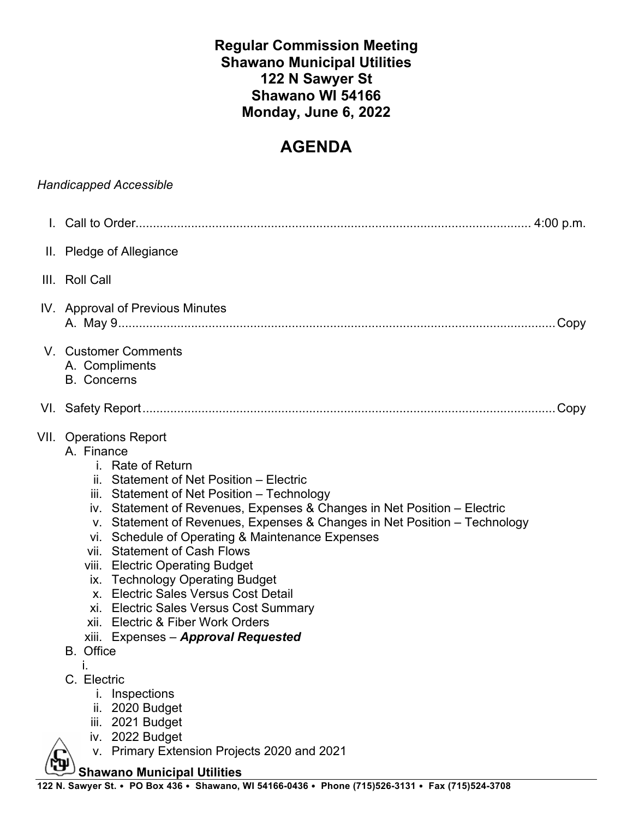# **Regular Commission Meeting Shawano Municipal Utilities 122 N Sawyer St Shawano WI 54166 Monday, June 6, 2022**

# **AGENDA**

|                                                                                                                                         | <b>Handicapped Accessible</b>                                                                                                                                                                                                                                                                                                                                                                                                                                                                                                                                                                                                                                    |
|-----------------------------------------------------------------------------------------------------------------------------------------|------------------------------------------------------------------------------------------------------------------------------------------------------------------------------------------------------------------------------------------------------------------------------------------------------------------------------------------------------------------------------------------------------------------------------------------------------------------------------------------------------------------------------------------------------------------------------------------------------------------------------------------------------------------|
|                                                                                                                                         |                                                                                                                                                                                                                                                                                                                                                                                                                                                                                                                                                                                                                                                                  |
|                                                                                                                                         | II. Pledge of Allegiance                                                                                                                                                                                                                                                                                                                                                                                                                                                                                                                                                                                                                                         |
|                                                                                                                                         | III. Roll Call                                                                                                                                                                                                                                                                                                                                                                                                                                                                                                                                                                                                                                                   |
|                                                                                                                                         | IV. Approval of Previous Minutes<br>. Copy                                                                                                                                                                                                                                                                                                                                                                                                                                                                                                                                                                                                                       |
|                                                                                                                                         | V. Customer Comments<br>A. Compliments<br><b>B.</b> Concerns                                                                                                                                                                                                                                                                                                                                                                                                                                                                                                                                                                                                     |
|                                                                                                                                         |                                                                                                                                                                                                                                                                                                                                                                                                                                                                                                                                                                                                                                                                  |
|                                                                                                                                         | <b>VII.</b> Operations Report<br>A. Finance<br>i. Rate of Return<br>ii. Statement of Net Position - Electric<br>iii. Statement of Net Position - Technology<br>iv. Statement of Revenues, Expenses & Changes in Net Position - Electric<br>v. Statement of Revenues, Expenses & Changes in Net Position - Technology<br>vi. Schedule of Operating & Maintenance Expenses<br>vii. Statement of Cash Flows<br>viii. Electric Operating Budget<br>ix. Technology Operating Budget<br>x. Electric Sales Versus Cost Detail<br>xi. Electric Sales Versus Cost Summary<br>xii. Electric & Fiber Work Orders<br>xiii. Expenses - Approval Requested<br><b>B.</b> Office |
|                                                                                                                                         | C. Electric<br><i>i.</i> Inspections<br>2020 Budget<br>ii.<br>2021 Budget<br>iii.<br>iv. 2022 Budget<br>v. Primary Extension Projects 2020 and 2021                                                                                                                                                                                                                                                                                                                                                                                                                                                                                                              |
| <b>Shawano Municipal Utilities</b><br>122 N. Sawyer St. • PO Box 436 • Shawano, WI 54166-0436 • Phone (715)526-3131 • Fax (715)524-3708 |                                                                                                                                                                                                                                                                                                                                                                                                                                                                                                                                                                                                                                                                  |